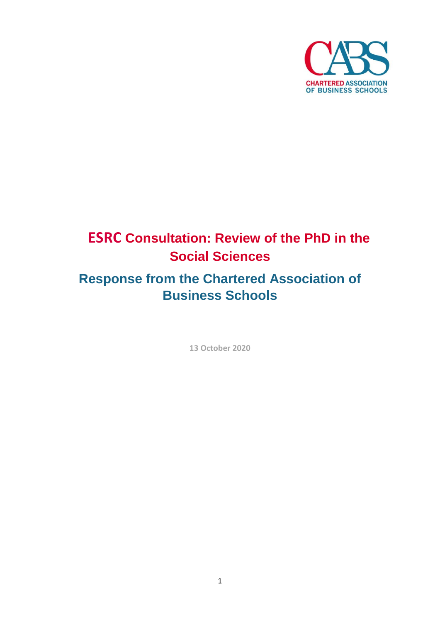

# **ESRC Consultation: Review of the PhD in the Social Sciences**

# **Response from the Chartered Association of Business Schools**

**13 October 2020**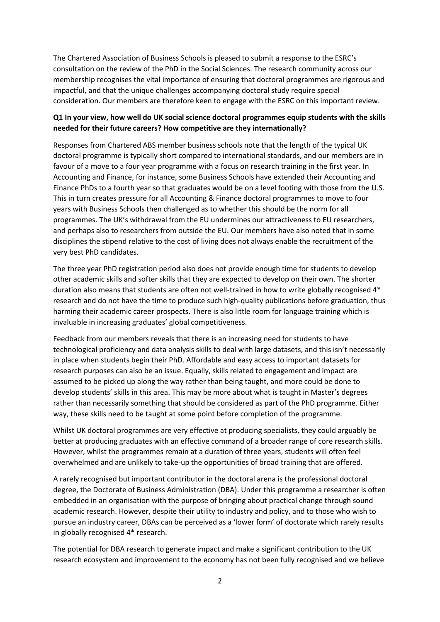The Chartered Association of Business Schools is pleased to submit a response to the ESRC's consultation on the review of the PhD in the Social Sciences. The research community across our membership recognises the vital importance of ensuring that doctoral programmes are rigorous and impactful, and that the unique challenges accompanying doctoral study require special consideration. Our members are therefore keen to engage with the ESRC on this important review.

# **Q1 In your view, how well do UK social science doctoral programmes equip students with the skills needed for their future careers? How competitive are they internationally?**

Responses from Chartered ABS member business schools note that the length of the typical UK doctoral programme is typically short compared to international standards, and our members are in favour of a move to a four year programme with a focus on research training in the first year. In Accounting and Finance, for instance, some Business Schools have extended their Accounting and Finance PhDs to a fourth year so that graduates would be on a level footing with those from the U.S. This in turn creates pressure for all Accounting & Finance doctoral programmes to move to four years with Business Schools then challenged as to whether this should be the norm for all programmes. The UK's withdrawal from the EU undermines our attractiveness to EU researchers, and perhaps also to researchers from outside the EU. Our members have also noted that in some disciplines the stipend relative to the cost of living does not always enable the recruitment of the very best PhD candidates.

The three year PhD registration period also does not provide enough time for students to develop other academic skills and softer skills that they are expected to develop on their own. The shorter duration also means that students are often not well-trained in how to write globally recognised 4\* research and do not have the time to produce such high-quality publications before graduation, thus harming their academic career prospects. There is also little room for language training which is invaluable in increasing graduates' global competitiveness.

Feedback from our members reveals that there is an increasing need for students to have technological proficiency and data analysis skills to deal with large datasets, and this isn't necessarily in place when students begin their PhD. Affordable and easy access to important datasets for research purposes can also be an issue. Equally, skills related to engagement and impact are assumed to be picked up along the way rather than being taught, and more could be done to develop students' skills in this area. This may be more about what is taught in Master's degrees rather than necessarily something that should be considered as part of the PhD programme. Either way, these skills need to be taught at some point before completion of the programme.

Whilst UK doctoral programmes are very effective at producing specialists, they could arguably be better at producing graduates with an effective command of a broader range of core research skills. However, whilst the programmes remain at a duration of three years, students will often feel overwhelmed and are unlikely to take-up the opportunities of broad training that are offered.

A rarely recognised but important contributor in the doctoral arena is the professional doctoral degree, the Doctorate of Business Administration (DBA). Under this programme a researcher is often embedded in an organisation with the purpose of bringing about practical change through sound academic research. However, despite their utility to industry and policy, and to those who wish to pursue an industry career, DBAs can be perceived as a 'lower form' of doctorate which rarely results in globally recognised 4\* research.

The potential for DBA research to generate impact and make a significant contribution to the UK research ecosystem and improvement to the economy has not been fully recognised and we believe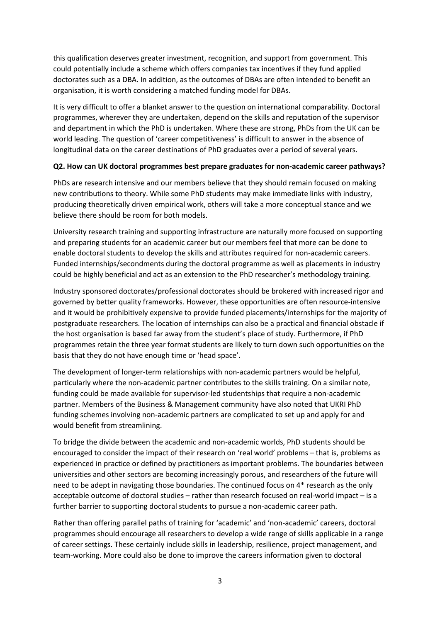this qualification deserves greater investment, recognition, and support from government. This could potentially include a scheme which offers companies tax incentives if they fund applied doctorates such as a DBA. In addition, as the outcomes of DBAs are often intended to benefit an organisation, it is worth considering a matched funding model for DBAs.

It is very difficult to offer a blanket answer to the question on international comparability. Doctoral programmes, wherever they are undertaken, depend on the skills and reputation of the supervisor and department in which the PhD is undertaken. Where these are strong, PhDs from the UK can be world leading. The question of 'career competitiveness' is difficult to answer in the absence of longitudinal data on the career destinations of PhD graduates over a period of several years.

#### **Q2. How can UK doctoral programmes best prepare graduates for non-academic career pathways?**

PhDs are research intensive and our members believe that they should remain focused on making new contributions to theory. While some PhD students may make immediate links with industry, producing theoretically driven empirical work, others will take a more conceptual stance and we believe there should be room for both models.

University research training and supporting infrastructure are naturally more focused on supporting and preparing students for an academic career but our members feel that more can be done to enable doctoral students to develop the skills and attributes required for non-academic careers. Funded internships/secondments during the doctoral programme as well as placements in industry could be highly beneficial and act as an extension to the PhD researcher's methodology training.

Industry sponsored doctorates/professional doctorates should be brokered with increased rigor and governed by better quality frameworks. However, these opportunities are often resource-intensive and it would be prohibitively expensive to provide funded placements/internships for the majority of postgraduate researchers. The location of internships can also be a practical and financial obstacle if the host organisation is based far away from the student's place of study. Furthermore, if PhD programmes retain the three year format students are likely to turn down such opportunities on the basis that they do not have enough time or 'head space'.

The development of longer-term relationships with non-academic partners would be helpful, particularly where the non-academic partner contributes to the skills training. On a similar note, funding could be made available for supervisor-led studentships that require a non-academic partner. Members of the Business & Management community have also noted that UKRI PhD funding schemes involving non-academic partners are complicated to set up and apply for and would benefit from streamlining.

To bridge the divide between the academic and non-academic worlds, PhD students should be encouraged to consider the impact of their research on 'real world' problems – that is, problems as experienced in practice or defined by practitioners as important problems. The boundaries between universities and other sectors are becoming increasingly porous, and researchers of the future will need to be adept in navigating those boundaries. The continued focus on 4\* research as the only acceptable outcome of doctoral studies – rather than research focused on real-world impact – is a further barrier to supporting doctoral students to pursue a non-academic career path.

Rather than offering parallel paths of training for 'academic' and 'non-academic' careers, doctoral programmes should encourage all researchers to develop a wide range of skills applicable in a range of career settings. These certainly include skills in leadership, resilience, project management, and team-working. More could also be done to improve the careers information given to doctoral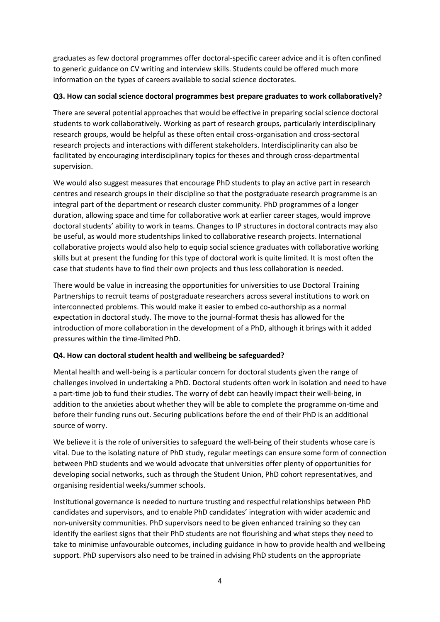graduates as few doctoral programmes offer doctoral-specific career advice and it is often confined to generic guidance on CV writing and interview skills. Students could be offered much more information on the types of careers available to social science doctorates.

## **Q3. How can social science doctoral programmes best prepare graduates to work collaboratively?**

There are several potential approaches that would be effective in preparing social science doctoral students to work collaboratively. Working as part of research groups, particularly interdisciplinary research groups, would be helpful as these often entail cross-organisation and cross-sectoral research projects and interactions with different stakeholders. Interdisciplinarity can also be facilitated by encouraging interdisciplinary topics for theses and through cross-departmental supervision.

We would also suggest measures that encourage PhD students to play an active part in research centres and research groups in their discipline so that the postgraduate research programme is an integral part of the department or research cluster community. PhD programmes of a longer duration, allowing space and time for collaborative work at earlier career stages, would improve doctoral students' ability to work in teams. Changes to IP structures in doctoral contracts may also be useful, as would more studentships linked to collaborative research projects. International collaborative projects would also help to equip social science graduates with collaborative working skills but at present the funding for this type of doctoral work is quite limited. It is most often the case that students have to find their own projects and thus less collaboration is needed.

There would be value in increasing the opportunities for universities to use Doctoral Training Partnerships to recruit teams of postgraduate researchers across several institutions to work on interconnected problems. This would make it easier to embed co-authorship as a normal expectation in doctoral study. The move to the journal-format thesis has allowed for the introduction of more collaboration in the development of a PhD, although it brings with it added pressures within the time-limited PhD.

## **Q4. How can doctoral student health and wellbeing be safeguarded?**

Mental health and well-being is a particular concern for doctoral students given the range of challenges involved in undertaking a PhD. Doctoral students often work in isolation and need to have a part-time job to fund their studies. The worry of debt can heavily impact their well-being, in addition to the anxieties about whether they will be able to complete the programme on-time and before their funding runs out. Securing publications before the end of their PhD is an additional source of worry.

We believe it is the role of universities to safeguard the well-being of their students whose care is vital. Due to the isolating nature of PhD study, regular meetings can ensure some form of connection between PhD students and we would advocate that universities offer plenty of opportunities for developing social networks, such as through the Student Union, PhD cohort representatives, and organising residential weeks/summer schools.

Institutional governance is needed to nurture trusting and respectful relationships between PhD candidates and supervisors, and to enable PhD candidates' integration with wider academic and non-university communities. PhD supervisors need to be given enhanced training so they can identify the earliest signs that their PhD students are not flourishing and what steps they need to take to minimise unfavourable outcomes, including guidance in how to provide health and wellbeing support. PhD supervisors also need to be trained in advising PhD students on the appropriate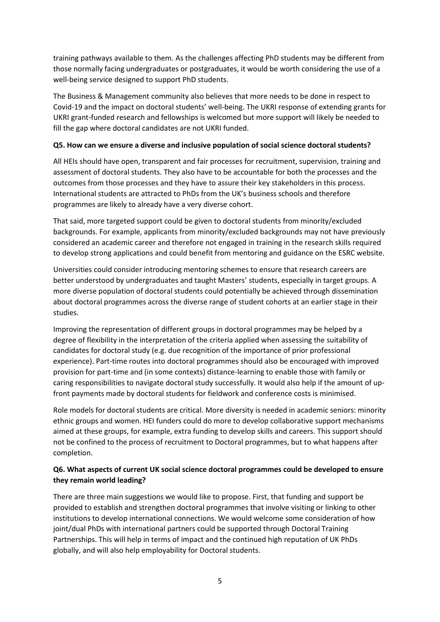training pathways available to them. As the challenges affecting PhD students may be different from those normally facing undergraduates or postgraduates, it would be worth considering the use of a well-being service designed to support PhD students.

The Business & Management community also believes that more needs to be done in respect to Covid-19 and the impact on doctoral students' well-being. The UKRI response of extending grants for UKRI grant-funded research and fellowships is welcomed but more support will likely be needed to fill the gap where doctoral candidates are not UKRI funded.

#### **Q5. How can we ensure a diverse and inclusive population of social science doctoral students?**

All HEIs should have open, transparent and fair processes for recruitment, supervision, training and assessment of doctoral students. They also have to be accountable for both the processes and the outcomes from those processes and they have to assure their key stakeholders in this process. International students are attracted to PhDs from the UK's business schools and therefore programmes are likely to already have a very diverse cohort.

That said, more targeted support could be given to doctoral students from minority/excluded backgrounds. For example, applicants from minority/excluded backgrounds may not have previously considered an academic career and therefore not engaged in training in the research skills required to develop strong applications and could benefit from mentoring and guidance on the ESRC website.

Universities could consider introducing mentoring schemes to ensure that research careers are better understood by undergraduates and taught Masters' students, especially in target groups. A more diverse population of doctoral students could potentially be achieved through dissemination about doctoral programmes across the diverse range of student cohorts at an earlier stage in their studies.

Improving the representation of different groups in doctoral programmes may be helped by a degree of flexibility in the interpretation of the criteria applied when assessing the suitability of candidates for doctoral study (e.g. due recognition of the importance of prior professional experience). Part-time routes into doctoral programmes should also be encouraged with improved provision for part-time and (in some contexts) distance-learning to enable those with family or caring responsibilities to navigate doctoral study successfully. It would also help if the amount of upfront payments made by doctoral students for fieldwork and conference costs is minimised.

Role models for doctoral students are critical. More diversity is needed in academic seniors: minority ethnic groups and women. HEI funders could do more to develop collaborative support mechanisms aimed at these groups, for example, extra funding to develop skills and careers. This support should not be confined to the process of recruitment to Doctoral programmes, but to what happens after completion.

## **Q6. What aspects of current UK social science doctoral programmes could be developed to ensure they remain world leading?**

There are three main suggestions we would like to propose. First, that funding and support be provided to establish and strengthen doctoral programmes that involve visiting or linking to other institutions to develop international connections. We would welcome some consideration of how joint/dual PhDs with international partners could be supported through Doctoral Training Partnerships. This will help in terms of impact and the continued high reputation of UK PhDs globally, and will also help employability for Doctoral students.